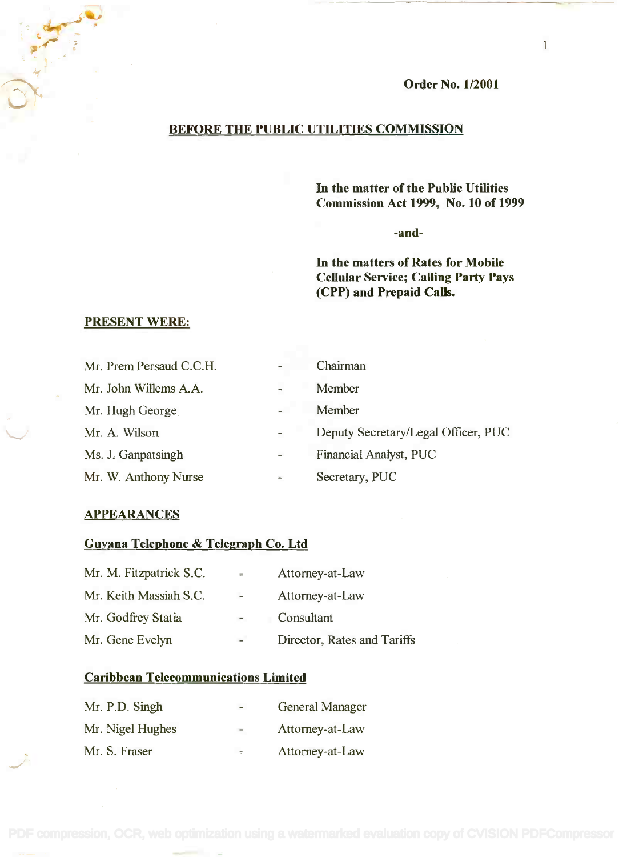Order No. 1/2001

# BEFORE THE PUBLIC UTILITIES COMMISSION

In the matter of the Public Utilities **In the matter of the Public Utilities** Commission Act 1999, No. 10 of 1999 **Commission Act 1999, No. 10 of 1999**

-and-

In the matters of Rates for Mobile **In the matters of Rates for Mobile** Cellular Service; Calling Party Pays **Cellular Service; Calling Party Pays** (CPP) and Prepaid Calls. **(CPP) and Prepaid Calls.**

# PRESENT WERE:

| Mr. Prem Persaud C.C.H. | ۰.                       | Chairman                            |
|-------------------------|--------------------------|-------------------------------------|
| Mr. John Willems A.A.   | ų,                       | Member                              |
| Mr. Hugh George         | $\sim$                   | Member                              |
| Mr. A. Wilson           | $\equiv$                 | Deputy Secretary/Legal Officer, PUC |
| Ms. J. Ganpatsingh      | $\sim$                   | Financial Analyst, PUC              |
| Mr. W. Anthony Nurse    | $\overline{\phantom{a}}$ | Secretary, PUC                      |

### **APPEARANCES**

# Guyana Telephone & Telegraph Co. Ltd

| Mr. M. Fitzpatrick S.C. | $\overline{\mathcal{M}}$ | Attorney-at-Law             |  |
|-------------------------|--------------------------|-----------------------------|--|
| Mr. Keith Massiah S.C.  | $\Delta \tau$            | Attorney-at-Law             |  |
| Mr. Godfrey Statia      |                          | Consultant                  |  |
| Mr. Gene Evelyn         | $-$                      | Director, Rates and Tariffs |  |

### Caribbean Telecommunications Limited

| Mr. P.D. Singh   | $\sim$ | <b>General Manager</b> |
|------------------|--------|------------------------|
| Mr. Nigel Hughes | $\sim$ | Attorney-at-Law        |
| Mr. S. Fraser    | ÷      | Attorney-at-Law        |

1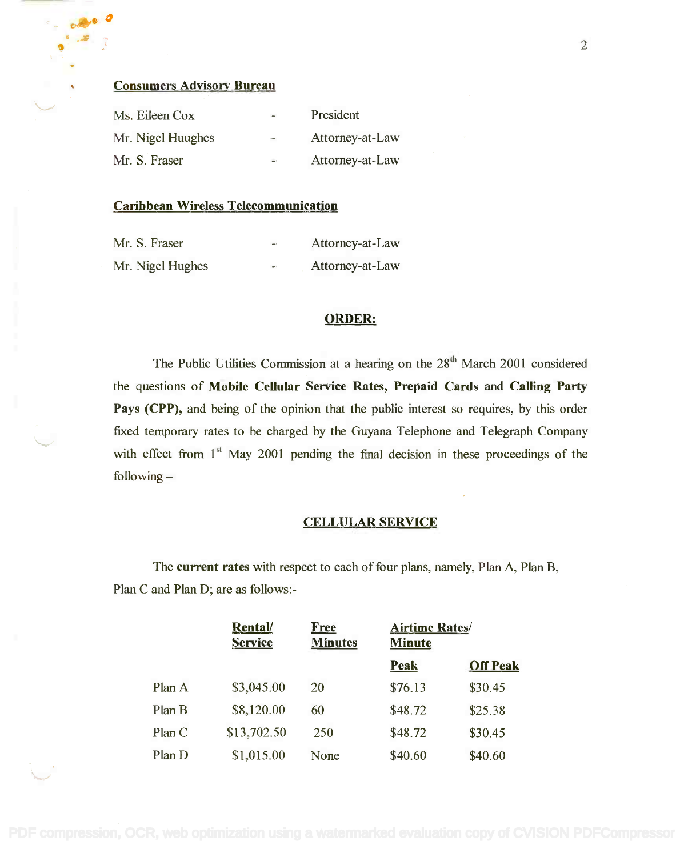### Consumers Advisory Bureau

| Ms. Eileen Cox    | $\overline{\phantom{a}}$ | President       |
|-------------------|--------------------------|-----------------|
| Mr. Nigel Huughes | $\sim$                   | Attorney-at-Law |
| Mr. S. Fraser     | $\overline{\phantom{a}}$ | Attorney-at-Law |

### Caribbean Wireless Telecommunication

| Mr. S. Fraser    | $\rightarrow$ | Attorney-at-Law |
|------------------|---------------|-----------------|
| Mr. Nigel Hughes | $\sim$        | Attorney-at-Law |

### ORDER:

The Public Utilities Commission at a hearing on the 28<sup>th</sup> March 2001 considered the questions of Mobile Cellular Service Rates, Prepaid Cards and Calling Party Pays (CPP), and being of the opinion that the public interest so requires, by this order Pays (CPP), and being of the opinion that the public interest so requires, by this order fixed temporary rates to be charged by the Guyana Telephone and Telegraph Company fixed temporary rates to be charged by the Guyana Telephone and Telegraph Company with effect from  $1<sup>st</sup>$  May 2001 pending the final decision in these proceedings of the following following -

### CELLULAR SERVICE

The current rates with respect to each of four plans, namely, Plan A, Plan B, Plan C and Plan D; are as follows:- Plan C and Plan D; are as follows:-

|        | Rental/<br><b>Service</b> | Free<br><b>Minutes</b> | <b>Airtime Rates/</b><br><b>Minute</b> |                 |
|--------|---------------------------|------------------------|----------------------------------------|-----------------|
|        |                           |                        | Peak                                   | <b>Off Peak</b> |
| Plan A | \$3,045.00                | 20                     | \$76.13                                | \$30.45         |
| Plan B | \$8,120.00                | 60                     | \$48.72                                | \$25.38         |
| Plan C | \$13,702.50               | 250                    | \$48.72                                | \$30.45         |
| Plan D | \$1,015.00                | None                   | \$40.60                                | \$40.60         |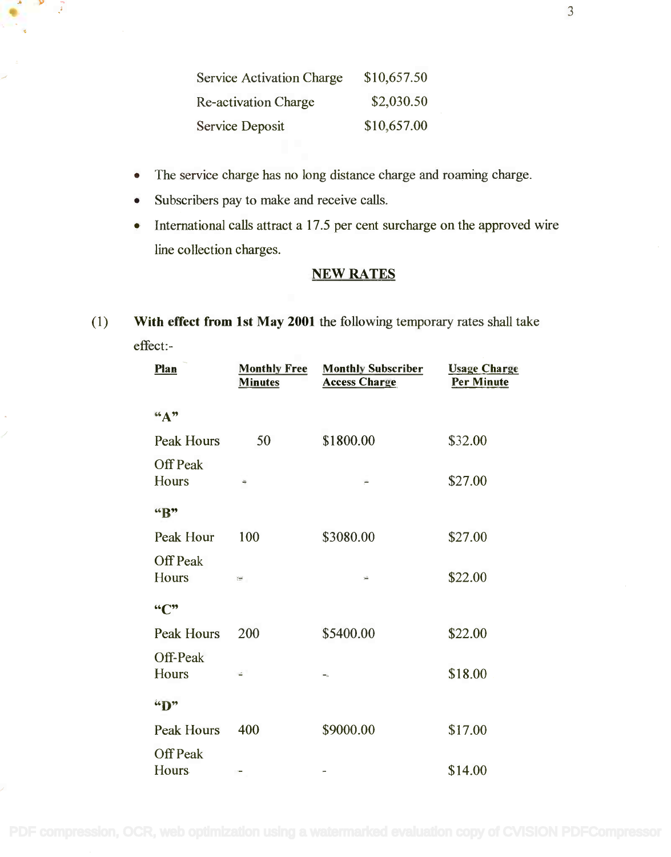| <b>Service Activation Charge</b> | \$10,657.50 |
|----------------------------------|-------------|
| <b>Re-activation Charge</b>      | \$2,030.50  |
| <b>Service Deposit</b>           | \$10,657.00 |

- The service charge has no long distance charge and roaming charge. The service charge has no long distance charge and roaming charge.
- Subscribers pay to make and receive calls.
- International calls attract a 17.5 per cent surcharge on the approved wire line collection charges. line collection charges.

# NEW RATES

(1) With effect from 1st May 2001 the following temporary rates shall take (1) With effect from 1st May 2001 the following temporary rates shall take effect:- effect:-

| Plan                            | <b>Monthly Free</b><br><b>Minutes</b> | <b>Monthly Subscriber</b><br><b>Access Charge</b> | <b>Usage Charge</b><br><b>Per Minute</b> |
|---------------------------------|---------------------------------------|---------------------------------------------------|------------------------------------------|
| 66 A 39                         |                                       |                                                   |                                          |
| <b>Peak Hours</b>               | 50                                    | \$1800.00                                         | \$32.00                                  |
| <b>Off Peak</b><br>Hours        | ÷                                     | Ë                                                 | \$27.00                                  |
| "B"                             |                                       |                                                   |                                          |
| Peak Hour                       | 100                                   | \$3080.00                                         | \$27.00                                  |
| <b>Off Peak</b><br>Hours        | Y.                                    | ÷                                                 | \$22.00                                  |
| ``C"                            |                                       |                                                   |                                          |
| <b>Peak Hours</b>               | 200                                   | \$5400.00                                         | \$22.00                                  |
| Off-Peak<br>Hours               | ÷                                     | $-$                                               | \$18.00                                  |
| "D"                             |                                       |                                                   |                                          |
| <b>Peak Hours</b>               | 400                                   | \$9000.00                                         | \$17.00                                  |
| <b>Off Peak</b><br><b>Hours</b> |                                       | ÷                                                 | \$14.00                                  |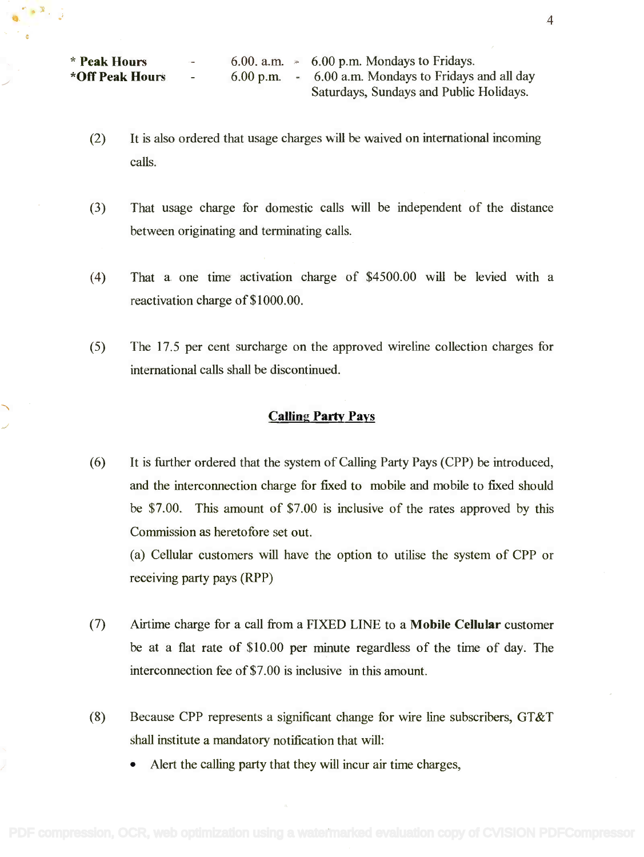\* Peak Hours \* Peak Hours \*Off Peak Hours **\*Off Peak Hours**

 $\bullet$   $\mathbb{R}$  .

 $6.00.$  a.m.  $\approx$  6.00 p.m. Mondays to Fridays. 6.00 p.m. - 6.00 a.m. Mondays to Fridays and all day 6.00 p.m. - 6.00 a.m. Mondays to Fridays and all day Saturdays, Sundays and Public Holidays. Saturdays, Sundays and Public Holidays.

- (2) It is also ordered that usage charges will be waived on international incoming calls. calls.
- (3) That usage charge for domestic calls will be independent of the distance (3) That usage charge for domestic calls will be independent of the distance between originating and terminating calls. between originating and terminating calls.
- (4) That a one time activation charge of \$4500.00 will be levied with a (4) That a one time activation charge of \$4500.00 will be levied with a reactivation charge of \$1000.00. reactivation charge of\$1000.00.
- (5) The 17.5 per cent surcharge on the approved wireline collection charges for (5) The 17.5 per cent surcharge on the approved wireline collection charges for international calls shall be discontinued. international calls shall be discontinued.

### Calling Party Pays

(6) It is further ordered that the system of Calling Party Pays (CPP) be introduced, (6) It is further ordered that the system of Calling Party Pays (CPP) be introduced, and the interconnection charge for fixed to mobile and mobile to fixed should and the interconnection charge for fixed to mobile and mobile to fixed should be \$7.00. This amount of \$7.00 is inclusive of the rates approved by this be \$7.00. This amount of \$7.00 is inclusive of the rates approved by this Commission as heretofore set out. Commission as heretofore set out.

(a) Cellular customers will have the option to utilise the system of CPP or (a) Cellular customers will have the option to utilise the system of CPP or receiving party pays (RPP) receiving party pays (RPP)

- (7) Airtime charge for a call from a FIXED LINE to a Mobile Cellular customer (7) Airtime charge for a call from a FIXED LINE to a **Mobile Cellular** customer be at a flat rate of \$10.00 per minute regardless of the time of day. The be at a flat rate of \$10.00 per minute regardless of the time of day. The interconnection fee of \$7.00 is inclusive in this amount. interconnection fee of\$7.00 is inclusive in this amount.
- (8) Because CPP represents a significant change for wire line subscribers, GT&T (8) Because CPP represents a significant change for wire line subscribers, GT&T shall institute a mandatory notification that will: shall institute a mandatory notification that will:
	- Alert the calling party that they will incur air time charges, Alert the calling party that they will incur air time charges,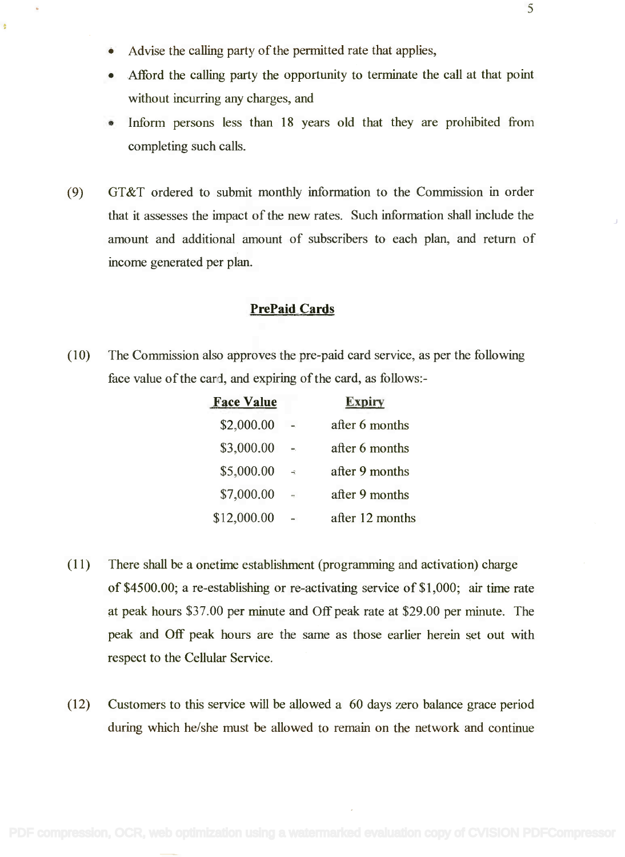• Advise the calling party of the permitted rate that applies,

Ä

- Afford the calling party the opportunity to terminate the call at that point without incurring any charges, and
- Inform persons less than 18 years old that they are prohibited from Inform persons less than 18 years old that they are prohibited from completing such calls. completing such calls.
- (9) GT&T ordered to submit monthly information to the Commission in order (9) GT&T ordered to submit monthly information to the Commission in order that it assesses the impact of the new rates. Such information shall include the that it assesses the impact of the new rates. Such information shall include the amount and additional amount of subscribers to each plan, and return of amount and additional amount of subscribers to each plan, and return of income generated per plan. income generated per plan.

### PrePaid Cards

(10) The Commission also approves the pre-paid card service, as per the following (10) The Commission also approves the pre-paid card service, as per the following face value of the card, and expiring of the card, as follows:-

| <b>Face Value</b> |               | <b>Expiry</b>   |
|-------------------|---------------|-----------------|
| \$2,000.00        |               | after 6 months  |
| \$3,000.00        | ш,            | after 6 months  |
| \$5,000.00        | $\rightarrow$ | after 9 months  |
| \$7,000.00        | ų.            | after 9 months  |
| \$12,000.00       |               | after 12 months |

- (11) There shall be a onetime establishment (programming and activation) charge (11) There shall be a onetime establishment (programming and activation) charge of \$4500.00; a re-establishing or re-activating service of \$1,000; air time rate of \$4500.00; a re-establishing or re-activating service of \$1,000; air time rate at peak hours \$37.00 per minute and Off peak rate at \$29.00 per minute. The at peak hours \$37.00 per minute and Off peak rate at \$29.00 per minute. The peak and Off peak hours are the same as those earlier herein set out with peak and Off peak hours are the same as those earlier herein set out with respect to the Cellular Service. respect to the Cellular Service.
- (12) Customers to this service will be allowed a 60 days zero balance grace period (12) Customers to this service will be allowed a 60 days zero balance grace period during which he/she must be allowed to remain on the network and continue during which he/she must be allowed to remain on the network and continue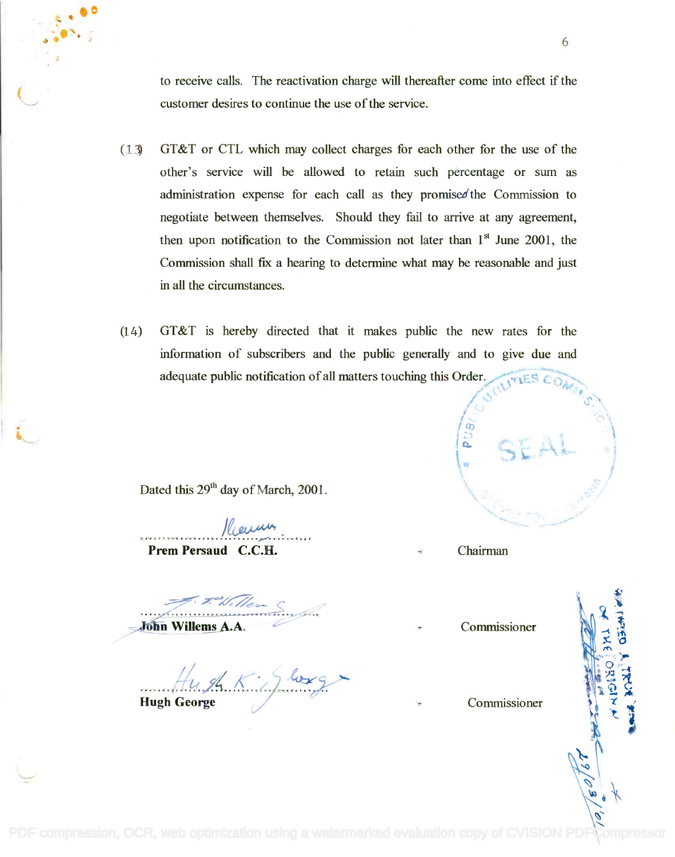to receive calls. The reactivation charge will thereafter come into effect if the customer desires to continue the use of the service. customer desires to continue the use of the service.

- (13) GT&T or CTL which may collect charges for each other for the use of the (13) GT&T or CTL which may collect charges for each other for the use of the other's service will be allowed to retain such percentage or sum as other's service will be allowed to retain such percentage or sum as administration expense for each call as they promisedthe Commission to administration expense for each call as they promised the Commission to negotiate between themselves. Should they fail to arrive at any agreement, negotiate between themselves. Should they fail to arrive at any agreement, then upon notification to the Commission not later than  $1<sup>st</sup>$  June 2001, the Commission shall fix a hearing to determine what may be reasonable and just Commission shall fix a hearing to determine what may be reasonable and just in all the circumstances. in all the circumstances.
- (14) GT&T is hereby directed that it makes public the new rates for the GT&T is hereby directed that it makes public the new rates for the information of subscribers and the public generally and to give due and adequate public notification of all matters touching this Order.

Dated this 29<sup>th</sup> day of March, 2001.

*l*eaum Prem Persaud C.C.H. Chairman **Prem Persaud C.C.H .** Roum

John Willems A.A.

Hugh George **Hugh George c/** *....!£...7Z.K.>./..~y*

 $\sqrt{a}$ *J ;*

Commissioner

Commissioner

 $\overline{2}$ 

*,Y -.* **/~ <sup>11</sup>** *'l* /.. ~, ,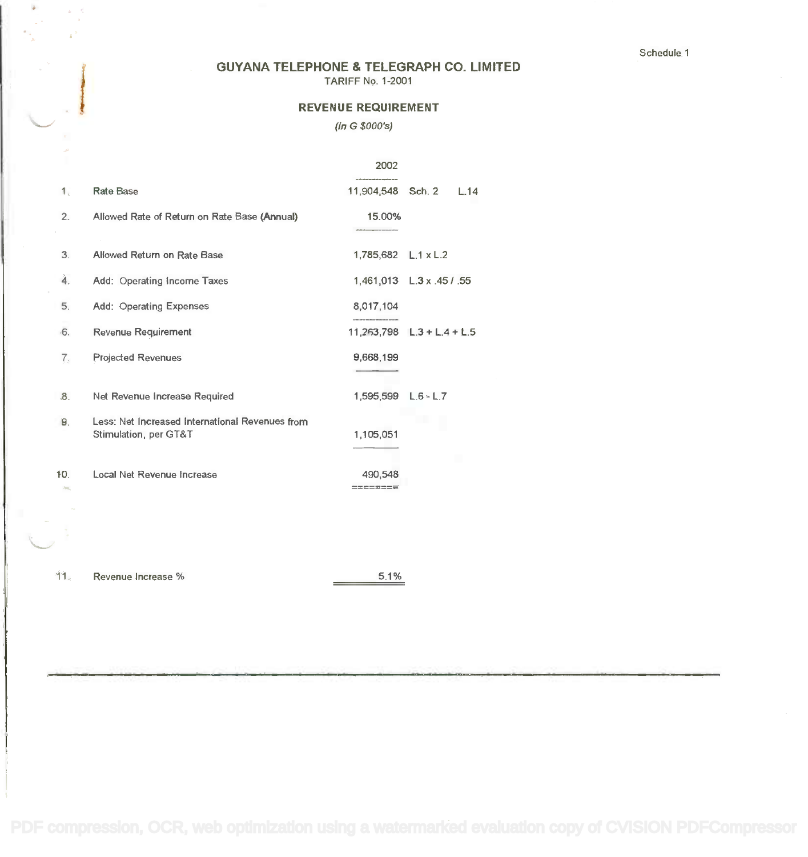### GUYANA TELEPHONE & TELEGRAPH CO. LIMITED **GUYANA TELEPHONE & TELEGRAPH** CO. **LIMITED**

TARIFF No. 1-2001 TARIFF No. 1-2001

### REVENUE REQUIREMENT **REVENUE REQUIREMENT**

#### (In G \$000's) *(In* G *\$OOO's)*

|           |                                                                          | 2002                 |                                |  |
|-----------|--------------------------------------------------------------------------|----------------------|--------------------------------|--|
| 1.        | <b>Rate Base</b>                                                         | 11.904.548 Sch. 2    | L.14                           |  |
| 2.        | Allowed Rate of Return on Rate Base (Annual)                             | 15.00%               |                                |  |
| 3.        | Allowed Return on Rate Base                                              | 1,785,682 L.1 x L.2  |                                |  |
| 4.        | Add: Operating Income Taxes                                              |                      | 1,461,013 L.3 x .45 / .55      |  |
| 5.        | Add: Operating Expenses                                                  | 8,017,104            |                                |  |
| $-6.$     | Revenue Requirement                                                      |                      | $11,263,798$ $L.3 + L.4 + L.5$ |  |
| 7.        | <b>Projected Revenues</b>                                                | 9,668,199            |                                |  |
| 8.        | Net Revenue Increase Required                                            | 1,595,599 L.6 - L.7  |                                |  |
| 9.        | Less: Net Increased International Revenues from<br>Stimulation, per GT&T | 1,105,051            |                                |  |
| 10.<br>m. | Local Net Revenue Increase                                               | 490,548<br>--------- |                                |  |
|           |                                                                          |                      |                                |  |
| 11.       | Revenue Increase %                                                       | 5.1%                 |                                |  |

 $\omega = \delta$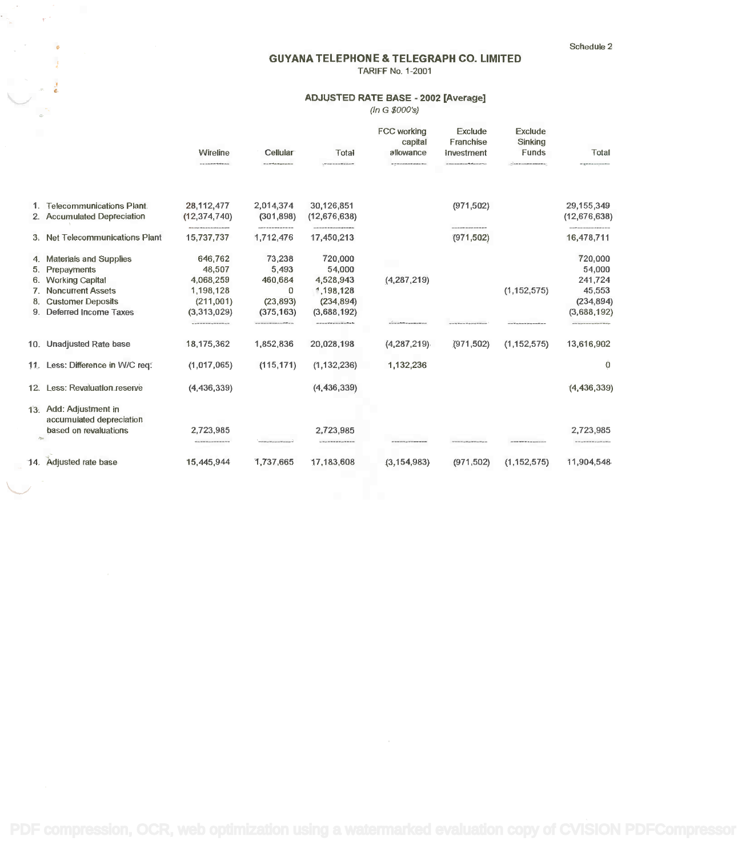Schedule 2 Schedule 2

### GUYANA TELEPHONE & TELEGRAPH CO. LIMITED **GUYANA TELEPHONE & TELEGRAPH CO. LIMITED** TARIFF No. 1-2001 TARIFF No. 1-2001

### ADJUSTED RATE BASE - 2002 [Average] ~ **ADJUSTED RATE BASE· <sup>2002</sup> [Average]**

(In G \$000's) *(In* G *\$000'5)*

|             |                                                    | Wireline<br>-----------------                    | Cellular<br><b><i>Chairman Column Column Column</i></b> | Total<br><b>Continued by the continued of the continued by</b> | FCC working<br>capital<br>allowance<br>OF TY EX-LOAN BRAN PE ARABAIN WELL | Exclude<br>Franchise<br>Investment<br>the character and contact the character of the | Exclude<br>Sinking<br>Funds<br><b>CONTRACTOR CONTRACTOR DE DEL TENSION</b> | Total                                                            |
|-------------|----------------------------------------------------|--------------------------------------------------|---------------------------------------------------------|----------------------------------------------------------------|---------------------------------------------------------------------------|--------------------------------------------------------------------------------------|----------------------------------------------------------------------------|------------------------------------------------------------------|
|             | 1. Telecommunications Plant.                       | 28,112,477                                       | 2,014,374                                               | 30,126,851                                                     |                                                                           | (971, 502)                                                                           |                                                                            | 29, 155, 349                                                     |
|             | 2. Accumulated Depreciation                        | (12, 374, 740)                                   | (301, 898)                                              | (12,676,638)                                                   |                                                                           |                                                                                      |                                                                            | (12,676,638)                                                     |
|             | 3. Net Telecommunications Plant                    | 15,737,737                                       | -------------------<br>1,712,476                        | 17,450,213                                                     |                                                                           | -------------------<br>(971, 502)                                                    |                                                                            | can PF and mean and see also detected one has an<br>16,478,711   |
|             | 4. Materials and Supplies                          | 646,762                                          | 73,238                                                  | 720,000                                                        |                                                                           |                                                                                      |                                                                            | 720,000                                                          |
|             | 5. Prepayments                                     | 48,507                                           | 5,493                                                   | 54,000                                                         |                                                                           |                                                                                      |                                                                            | 54,000                                                           |
| 6.          | <b>Working Capital</b>                             | 4,068,259                                        | 460,684                                                 | 4,528,943                                                      | (4,287,219)                                                               |                                                                                      |                                                                            | 241,724                                                          |
|             | 7. Noncurrent Assets                               | 1,198,128                                        | 0                                                       | 1,198,128                                                      |                                                                           |                                                                                      | (1, 152, 575)                                                              | 45,553                                                           |
| 8.          | <b>Customer Deposits</b>                           | (211,001)                                        | (23, 893)                                               | (234, 894)                                                     |                                                                           |                                                                                      |                                                                            | (234, 894)                                                       |
|             | 9. Deferred Income Taxes                           | (3,313,029)                                      | (375, 163)                                              | (3,688,192)                                                    |                                                                           |                                                                                      |                                                                            | (3,688,192)                                                      |
|             |                                                    | so as the set we have an as the set of the as we | .<br>1979 Steppens III should be, say \$75.00 at 10     |                                                                |                                                                           | a see the "discussion of the motion for any county                                   |                                                                            | to be an or or year or yet out on the battery                    |
|             | 10. Unadjusted Rate base                           | 18,175,362                                       | 1,852,836                                               | 20,028,198                                                     | (4, 287, 219)                                                             | (971, 502)                                                                           | (1, 152, 575)                                                              | 13,616,902                                                       |
|             | 11. Less: Difference in W/C req.                   | (1,017,065)                                      | (115, 171)                                              | (1, 132, 236)                                                  | 1,132,236                                                                 |                                                                                      |                                                                            | 0                                                                |
|             | 12. Less: Revaluation reserve                      | (4, 436, 339)                                    |                                                         | (4, 436, 339)                                                  |                                                                           |                                                                                      |                                                                            | (4, 436, 339)                                                    |
|             | 13. Add: Adjustment in<br>accumulated depreciation |                                                  |                                                         |                                                                |                                                                           |                                                                                      |                                                                            |                                                                  |
| <b>Part</b> | based on revaluations                              | 2,723,985<br>---------------                     |                                                         | 2,723,985<br>--------------                                    |                                                                           |                                                                                      |                                                                            | 2,723,985<br>the first page was see our and good for any hole of |
|             |                                                    |                                                  |                                                         |                                                                |                                                                           |                                                                                      |                                                                            |                                                                  |
|             | 14. Adjusted rate base                             | 15,445,944                                       | 1,737,665                                               | 17,183,608                                                     | (3, 154, 983)                                                             | (971, 502)                                                                           | (1, 152, 575)                                                              | 11,904,548                                                       |

, .

 $\ddot{\phantom{a}}$ 

 $\sim \pi^{-1}$ 

"-----""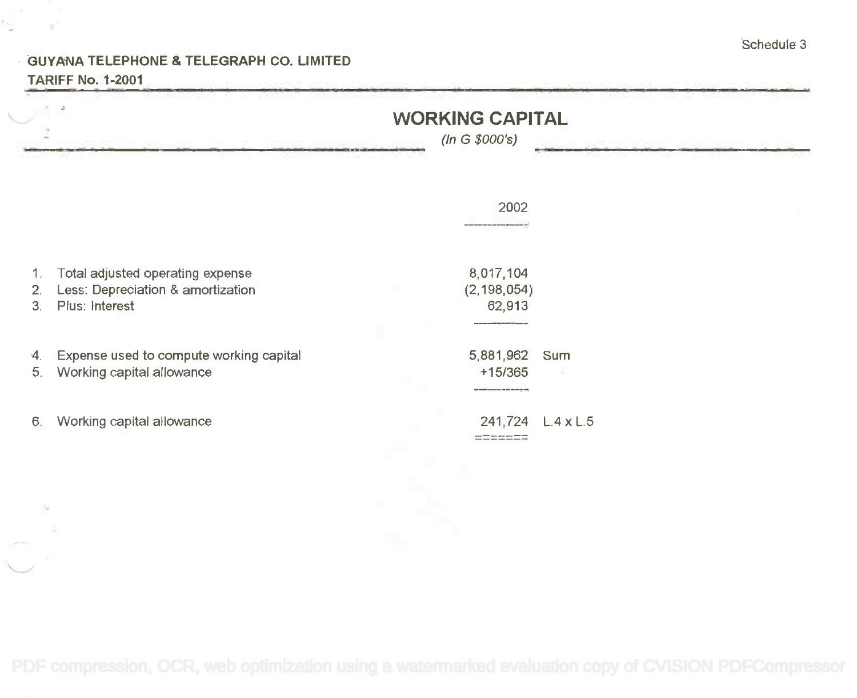### GUYANA TELEPHONE & TELEGRAPH CO. LIMITED **GUYA'NA TELEPHONE & TELEGRAPH** CO. **LIMITED** TARIFF No. 1-2001 **TARIFF** No. **1-2001**

 $\frac{1}{\sqrt{2}}$ 

|          |                                                                                         | (ln G \$000's)                       | <b>WORKING CAPITAL</b> |  |  |
|----------|-----------------------------------------------------------------------------------------|--------------------------------------|------------------------|--|--|
|          |                                                                                         | 2002                                 |                        |  |  |
| 2.<br>3. | Total adjusted operating expense<br>Less: Depreciation & amortization<br>Plus: Interest | 8,017,104<br>(2, 198, 054)<br>62,913 |                        |  |  |
| 4.<br>5. | Expense used to compute working capital<br>Working capital allowance                    | 5,881,962<br>$+15/365$               | Sum                    |  |  |
| 6.       | Working capital allowance                                                               | 241,724<br>------                    | $L.4 \times L.5$       |  |  |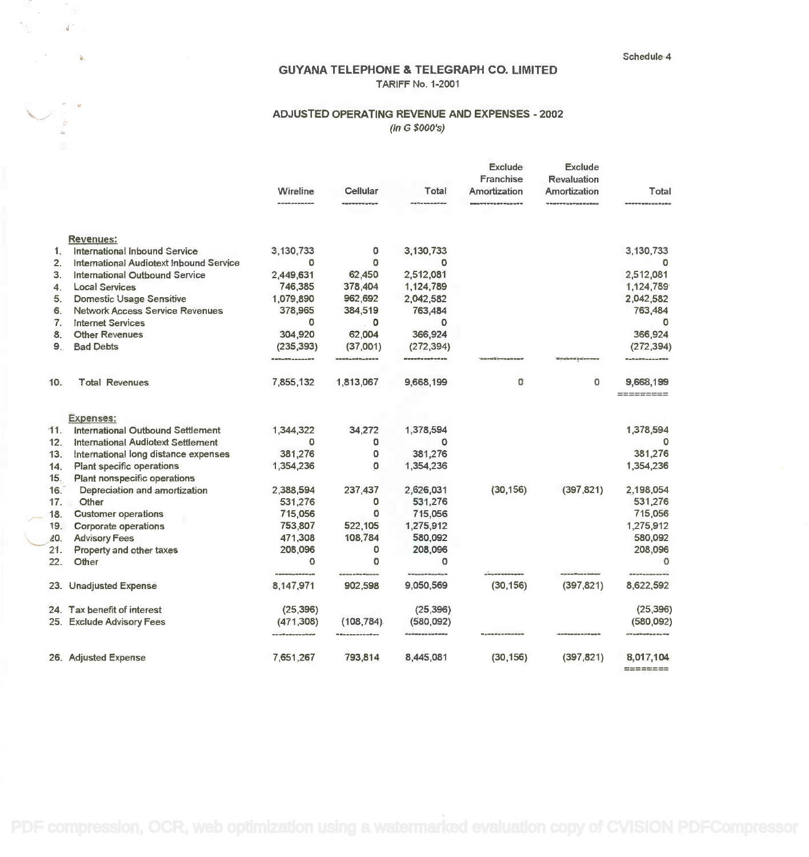Schedule 4 Schedule 4

### GUYANA TELEPHONE & TELEGRAPH CO. LIMITED GUYANA TELEPHONE & TELEGRAPH CO. LIMITED TARIFF No. 1-2001 TARIFF No. 1·2001

### ADJUSTED OPERATING REVENUE AND EXPENSES - 2002 ADJUSTED OPERATING REVENUE AND EXPENSES - 2002 (In G \$000's) *(In* G *\$OOO's)*

.  $\mathbf{r}$ 

 $\mathbf{d}^{\left(2\right)}$ 

 $\langle \cdot \rangle$  is a

|                |                                           | Wireline                       | Cellular   | Total      | <b>Exclude</b><br>Franchise<br>Amortization | Exclude<br>Revaluation<br>Amortization | Total                 |
|----------------|-------------------------------------------|--------------------------------|------------|------------|---------------------------------------------|----------------------------------------|-----------------------|
|                | <b>Revenues:</b>                          |                                |            |            |                                             |                                        |                       |
| $1_{-}$        | International Inbound Service             | 3,130,733                      | 0          | 3,130,733  |                                             |                                        | 3,130,733             |
| 2.             | International Audiotext Inbound Service   | 0                              | $\circ$    | o          |                                             |                                        | $\circ$               |
| 3.             | <b>International Outbound Service</b>     | 2,449,631                      | 62,450     | 2,512,081  |                                             |                                        | 2,512,081             |
| 4.             | <b>Local Services</b>                     | 746,385                        | 378,404    | 1,124,789  |                                             |                                        | 1,124,789             |
| 5.             | <b>Domestic Usage Sensitive</b>           | 1,079,890                      | 962,692    | 2,042,582  |                                             |                                        | 2,042,582             |
| 6.             | <b>Network Access Service Revenues</b>    | 378,965                        | 384,519    | 763,484    |                                             |                                        | 763,484               |
| 7 <sub>1</sub> | <b>Internet Services</b>                  | 0                              | o          | o          |                                             |                                        | 0                     |
| 8              | <b>Other Revenues</b>                     | 304,920                        | 62,004     | 366,924    |                                             |                                        | 366,924               |
| 9.             | <b>Bad Debts</b>                          | (235, 393)                     | (37,001)   | (272, 394) |                                             |                                        | (272, 394)            |
|                |                                           |                                |            |            |                                             |                                        |                       |
| 10.            | <b>Total Revenues</b>                     | 7,855,132                      | 1,813,067  | 9,668,199  | o                                           | $\circ$                                | 9,668,199<br>金属金属金属金属 |
|                |                                           |                                |            |            |                                             |                                        |                       |
|                | <b>Expenses:</b>                          |                                |            |            |                                             |                                        |                       |
| 11.            | International Outbound Settlement         | 1,344,322                      | 34,272     | 1,378,594  |                                             |                                        | 1,378,594             |
| 12.            | <b>International Audiotext Settlement</b> | o                              | o          | 0          |                                             |                                        | 0                     |
| 13.            | international long distance expenses      | 381,276                        | ٥          | 381,276    |                                             |                                        | 381,276               |
| 14.            | Plant specific operations                 | 1,354,236                      | 0          | 1,354,236  |                                             |                                        | 1,354,236             |
| 15.            | Plant nonspecific operations              |                                |            |            |                                             |                                        |                       |
| 16.            | Depreciation and amortization             | 2,388,594                      | 237,437    | 2,626,031  | (30, 156)                                   | (397, 821)                             | 2,198,054             |
| 17.            | Other                                     | 531,276                        | o          | 531,276    |                                             |                                        | 531,276               |
| 18.            | <b>Customer operations</b>                | 715,056                        | ٥          | 715,056    |                                             |                                        | 715,056               |
| 19.            | Corporate operations                      | 753,807                        | 522,105    | 1,275,912  |                                             |                                        | 1,275,912             |
| 20.            | <b>Advisory Fees</b>                      | 471,308                        | 108,784    | 580,092    |                                             |                                        | 580,092               |
| 21.            | Property and other taxes                  | 208,096                        | 0          | 208,096    |                                             |                                        | 208,096               |
| 22.            | Other                                     | $\mathbf 0$                    | 0          | o          |                                             |                                        | o                     |
|                | 23. Unadjusted Expense                    | 8,147,971                      | 902,598    | 9,050,569  | (30, 156)                                   | (397, 821)                             | 8,622,592             |
|                | 24. Tax benefit of interest               | (25, 396)                      |            | (25, 396)  |                                             |                                        | (25, 396)             |
|                | 25. Exclude Advisory Fees                 | (471, 308)<br>---------------- | (108, 784) | (580,092)  |                                             |                                        | (580,092)             |
|                | 26. Adjusted Expense                      | 7,651,267                      | 793,814    | 8,445,081  | (30, 156)                                   | (397, 821)                             | 8,017,104<br>-------- |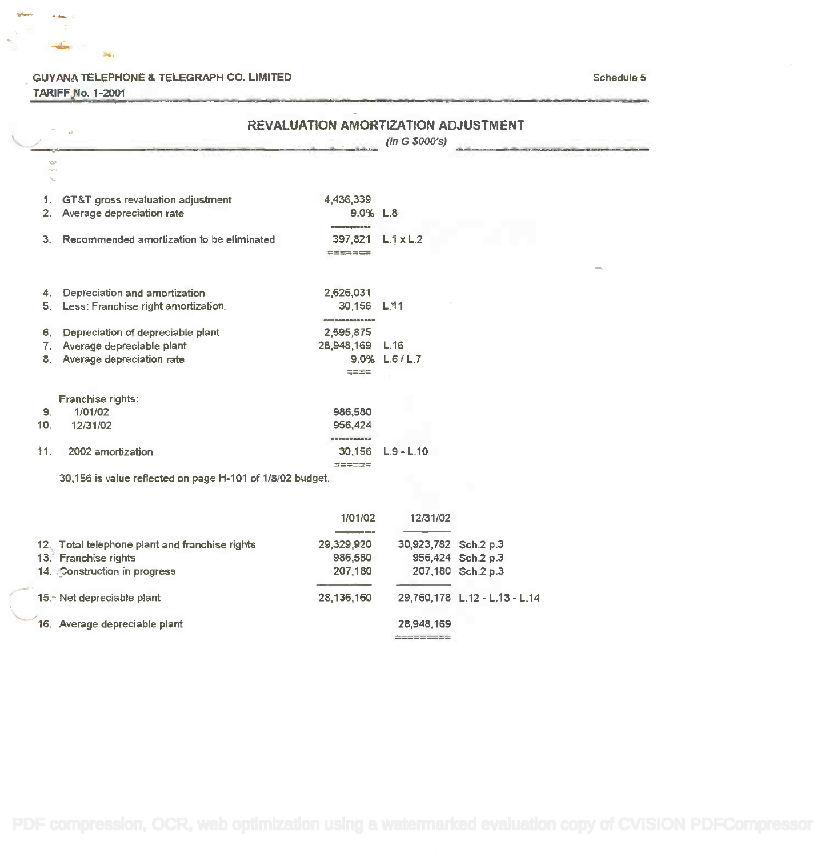#### GUYANA TELEPHONE & TELEGRAPH CO. LIMITED SChedule 5

TARIFF.No. 1-2001 TARIFF Jlo.1-2OO1

Sá.

أوبأها

|     |                                                           | <b>REVALUATION AMORTIZATION ADJUSTMENT</b> | (ln G \$000's)   |  |
|-----|-----------------------------------------------------------|--------------------------------------------|------------------|--|
|     |                                                           |                                            |                  |  |
| 1.  | GT&T gross revaluation adjustment                         | 4,436,339                                  |                  |  |
| 2.  | Average depreciation rate                                 | $9.0\%$ L.8                                |                  |  |
| 3.  | Recommended amortization to be eliminated                 | 397,821<br>=======                         | $L.1 \times L.2$ |  |
|     |                                                           |                                            |                  |  |
| 4.  | Depreciation and amortization                             | 2,626,031                                  |                  |  |
| 5.  | Less: Franchise right amortization.                       | 30.156 L.11                                |                  |  |
| 6.  | Depreciation of depreciable plant                         | 2.595.875                                  |                  |  |
| 7.  | Average depreciable plant                                 | 28,948,169                                 | L.16             |  |
| 8.  | Average depreciation rate                                 |                                            | 9.0% L.6/L.7     |  |
|     |                                                           | <b>HEIR</b>                                |                  |  |
|     | Franchise rights:                                         |                                            |                  |  |
| 9.  | 1/01/02                                                   | 986,580                                    |                  |  |
| 10. | 12/31/02                                                  | 956,424                                    |                  |  |
|     |                                                           |                                            |                  |  |
| 11. | 2002 amortization                                         | 30,156<br>$m = 1.5$                        | $L.9 - L.10$     |  |
|     | 30,156 is value reflected on page H-101 of 1/8/02 budget. |                                            |                  |  |

|                                                | 1/01/02    | 12/31/02             |                               |
|------------------------------------------------|------------|----------------------|-------------------------------|
|                                                |            |                      |                               |
| 12. Total telephone plant and franchise rights | 29,329,920 | 30,923,782 Sch.2 p.3 |                               |
| 13. Franchise rights                           | 986,580    |                      | 956,424 Sch.2 p.3             |
| 14. Construction in progress                   | 207,180    |                      | 207,180 Sch.2 p.3             |
| 15. Net depreciable plant                      | 28,136,160 |                      | 29.760.178 L.12 - L.13 - L.14 |
| 16. Average depreciable plant                  |            | 28,948,169           |                               |
|                                                |            |                      |                               |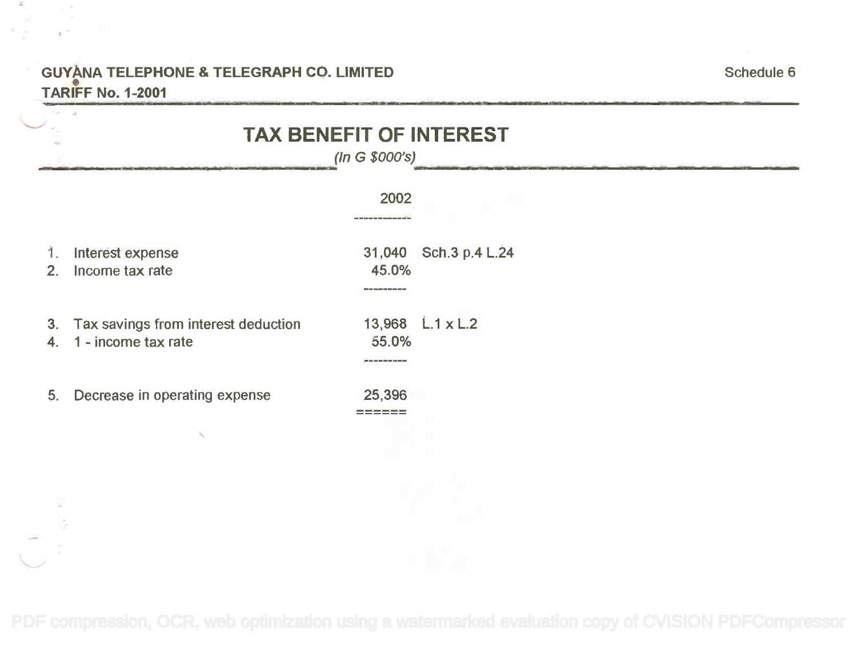### GUYANA TELEPHONE & TELEGRAPH CO. LIMITED **GUyANA TELEPHONE & TELEGRAPH** CO. **LIMITED** TARIFF No. 1-2001 **TARIFF** • No. **1-2001**

 $\mathcal{K}$ 

 $\sigma \sim \omega$ 

and the control

|                                           | (ln G \$000's) |                       |
|-------------------------------------------|----------------|-----------------------|
|                                           | 2002           |                       |
| Interest expense<br>1.                    |                | 31,040 Sch.3 p.4 L.24 |
| Income tax rate<br>2.                     | 45.0%          |                       |
| Tax savings from interest deduction<br>3. |                | 13,968 L.1 x L.2      |
| 1 - income tax rate<br>4.                 | 55.0%          |                       |
| Decrease in operating expense<br>5.       | 25,396         |                       |
|                                           |                |                       |
|                                           |                |                       |
|                                           |                |                       |
|                                           |                |                       |
|                                           |                |                       |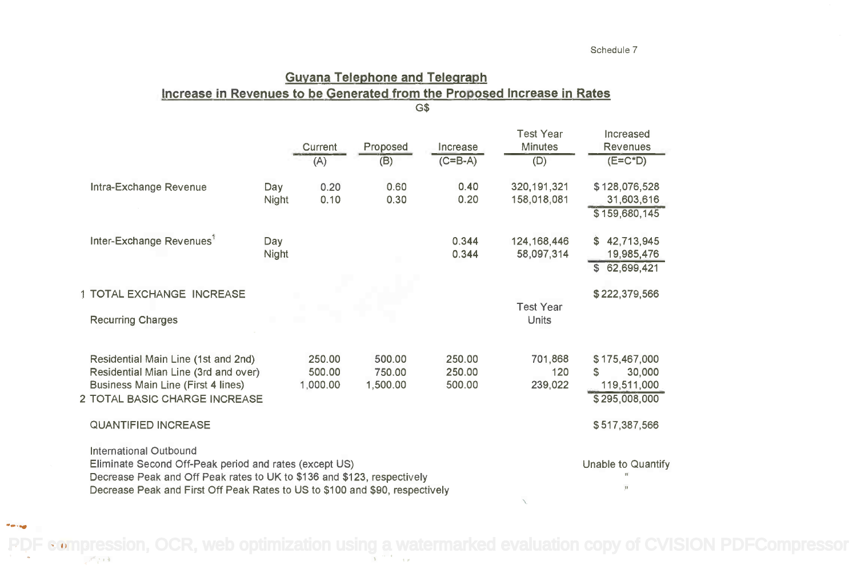# Guyana Telephone and Telegraph **Guyana Telephone and Telegraph** Increase in Revenues to be Generated from the Proposed Increase in Rates G\$ G\$

|                                                                                                                                                                                                                                                    |       | <b>Current</b><br>(A) | Proposed<br>(B)    | Increase<br>$(C=BA)$ | <b>Test Year</b><br><b>Minutes</b><br>(D) | Increased<br><b>Revenues</b><br>$(E=C^*D)$ |
|----------------------------------------------------------------------------------------------------------------------------------------------------------------------------------------------------------------------------------------------------|-------|-----------------------|--------------------|----------------------|-------------------------------------------|--------------------------------------------|
| Intra-Exchange Revenue                                                                                                                                                                                                                             | Day   | 0.20                  | 0.60               | 0.40                 | 320, 191, 321                             | \$128,076,528                              |
|                                                                                                                                                                                                                                                    | Night | 0.10                  | 0.30               | 0.20                 | 158,018,081                               | 31,603,616<br>\$159,680,145                |
| Inter-Exchange Revenues <sup>1</sup>                                                                                                                                                                                                               | Day   |                       |                    | 0.344                | 124, 168, 446                             | \$42,713,945                               |
|                                                                                                                                                                                                                                                    | Night |                       |                    | 0.344                | 58,097,314                                | 19,985,476<br>\$62,699,421                 |
| 1 TOTAL EXCHANGE INCREASE                                                                                                                                                                                                                          |       |                       |                    |                      | <b>Test Year</b>                          | \$222,379,566                              |
| <b>Recurring Charges</b>                                                                                                                                                                                                                           |       |                       |                    |                      | Units                                     |                                            |
| Residential Main Line (1st and 2nd)                                                                                                                                                                                                                |       | 250.00                | 500.00             | 250.00               | 701,868                                   | \$175,467,000                              |
| Residential Mian Line (3rd and over)<br>Business Main Line (First 4 lines)                                                                                                                                                                         |       | 500.00<br>1,000.00    | 750.00<br>1,500.00 | 250.00<br>500.00     | 120<br>239,022                            | 30,000<br>S<br>119,511,000                 |
| 2 TOTAL BASIC CHARGE INCREASE                                                                                                                                                                                                                      |       |                       |                    |                      |                                           | \$295,008,000                              |
| <b>QUANTIFIED INCREASE</b>                                                                                                                                                                                                                         |       |                       |                    |                      |                                           | \$517,387,566                              |
| <b>International Outbound</b><br>Eliminate Second Off-Peak period and rates (except US)<br>Decrease Peak and Off Peak rates to UK to \$136 and \$123, respectively<br>Decrease Peak and First Off Peak Rates to US to \$100 and \$90, respectively |       |                       |                    |                      |                                           | Unable to Quantify<br>$\mathbb{H}$         |

[PDF compression, OCR, web optimization using a watermarked evaluation copy of CVISION PDFCompressor](http://www.cvisiontech.com)